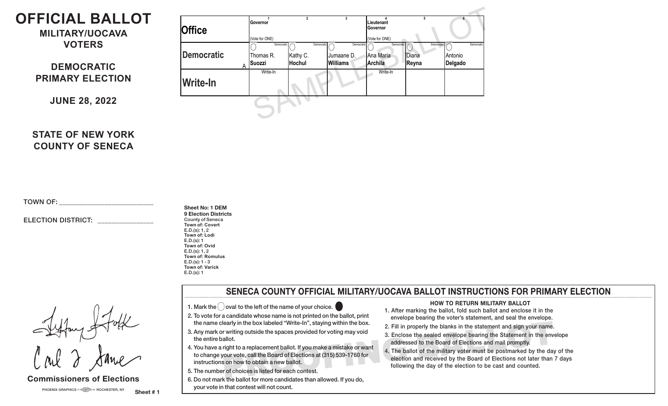# **OFFICIAL BALLOT**

**MILITARY/UOCAVA VOTERS**

# **DEMOCRATIC PRIMARY ELECTION**

**JUNE 28, 2022**

| <b>Office</b>   | Governor       | Lieutenant<br>Governor<br>(Vote for ONE) |                 |              |       |            |            |
|-----------------|----------------|------------------------------------------|-----------------|--------------|-------|------------|------------|
|                 | (Vote for ONE) |                                          |                 |              |       |            |            |
|                 | Democratic     | Democratic                               | Democratic      | Democratic / |       | Democratic | Democratic |
| Democratic      | Thomas R.      | Kathy C.                                 | Jumaane D.      | Ana Maria    | Diana |            | Antonio    |
|                 | <b>Suozzi</b>  | Hochul                                   | <b>Williams</b> | Archila      | Reyna |            | Delgado    |
| <b>Write-In</b> | Write-In       |                                          |                 | Write-In     |       |            |            |
|                 |                |                                          |                 |              |       |            |            |
|                 |                |                                          |                 |              |       |            |            |
|                 |                |                                          |                 |              |       |            |            |

# **STATE OF NEW YORK COUNTY OF SENECA**

TOWN OF: \_\_\_\_\_\_\_\_\_\_\_\_\_\_\_\_\_\_\_\_\_\_\_\_\_\_\_

### ELECTION DISTRICT:

**Sheet No: 1 DEM 9 Election Districts** County of Seneca **Town of: Covert** E.D.(s): 1, 2 **Town of: Lodi** E.D.(s): 1 **Town of: Ovid** E.D.(s): 1, 2 **Town of: Romulus**  $E.D.(s): 1 - 3$ **Town of: Varick** E.D.(s): 1

Fifty Stock

### **Commissioners of Elections**

### **SENECA COUNTY OFFICIAL MILITARY/UOCAVA BALLOT INSTRUCTIONS FOR PRIMARY ELECTION**

newyorkstateofficialballotnewyorkstateofficialballot newyorkstateofficialballot newyorkstateofficialballot newyorkstateofficialballot newyorkstateofficialballot newyorkstateofficialballot newyorkstateofficialballot newyorkstateofficialballot newyorkstateofficialballot newyorkstateofficialballot newyorkstateofficialballot newyorkstateofficialballot newyorkstateofficialballot newyorkstateofficialballot newyorkstateofficialballot newyorkstateofficialballot newyorkstateofficialballot newyorkstateofficialballot newyorkstateofficialballot newyorkstateofficialballot newyorkstateofficialballot newyorkstateofficialballot newyorkstateofficialballot newyorkstateofficialballot newyorkstateofficialballot newyorkstateofficialballot newyorkstateofficialballot newyorkstateofficialballot newyorkstateofficialballot newyorkstateofficialballot newyorkstateofficialballot newyorkstateofficialballot newyorkstateofficialballot newyorkstateofficialballot

- 1. Mark the  $\bigcirc$  oval to the left of the name of your choice.
- 2. To vote for a candidate whose name is not printed on the ballot, print
- the name clearly in the box labeled "Write-In", staying within the box. 3. Any mark or writing outside the spaces provided for voting may void the entire ballot.
- 4. You have a right to a replacement ballot. If you make a mistake or want to change your vote, call the Board of Elections at (315) 539-1760 for instructions on how to obtain a new ballot.
- 5. The number of choices is listed for each contest.
- $\vert\;$  6. Do not mark the ballot for more candidates than allowed. If you do, your vote in that contest will not count. be not make the ballot for more candidates than allowed. If you do,<br>your vote in that contest will not count.

#### **HOW TO RETURN MILITARY BALLOT**

- 1. After marking the ballot, fold such ballot and enclose it in the envelope bearing the voter's statement, and seal the envelope.
- 2. Fill in properly the blanks in the statement and sign your name.
- 3. Enclose the sealed envelope bearing the Statement in the envelope addressed to the Board of Elections and mail promptly.
- early in the box labeled "Write-In", staying within the box.<br>
Till in properly the blanks in the statement and sign your name.<br>
The ballot statement in the envelope bearing the Statement in the envelope<br>
in properly the bl 4. The ballot of the military voter must be postmarked by the day of the election and received by the Board of Elections not later than 7 days following the day of the election to be cast and counted.